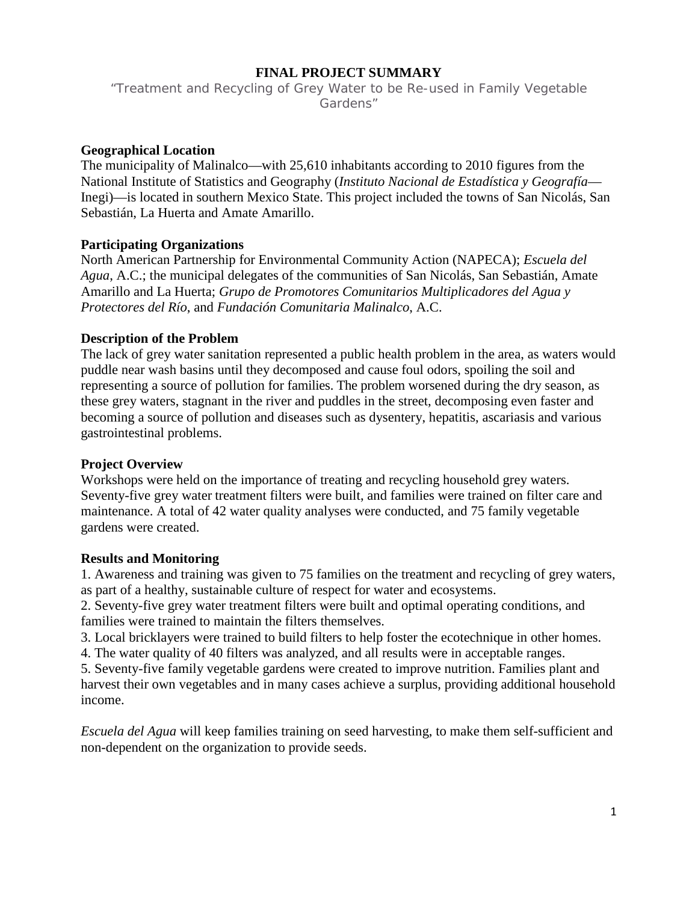## **FINAL PROJECT SUMMARY**

"Treatment and Recycling of Grey Water to be Re-used in Family Vegetable Gardens"

## **Geographical Location**

The municipality of Malinalco—with 25,610 inhabitants according to 2010 figures from the National Institute of Statistics and Geography (*Instituto Nacional de Estadística y Geografía*— Inegi)—is located in southern Mexico State. This project included the towns of San Nicolás, San Sebastián, La Huerta and Amate Amarillo.

## **Participating Organizations**

North American Partnership for Environmental Community Action (NAPECA); *Escuela del Agua*, A.C.; the municipal delegates of the communities of San Nicolás, San Sebastián, Amate Amarillo and La Huerta; *Grupo de Promotores Comunitarios Multiplicadores del Agua y Protectores del Río*, and *Fundación Comunitaria Malinalco*, A.C.

## **Description of the Problem**

The lack of grey water sanitation represented a public health problem in the area, as waters would puddle near wash basins until they decomposed and cause foul odors, spoiling the soil and representing a source of pollution for families. The problem worsened during the dry season, as these grey waters, stagnant in the river and puddles in the street, decomposing even faster and becoming a source of pollution and diseases such as dysentery, hepatitis, ascariasis and various gastrointestinal problems.

## **Project Overview**

Workshops were held on the importance of treating and recycling household grey waters. Seventy-five grey water treatment filters were built, and families were trained on filter care and maintenance. A total of 42 water quality analyses were conducted, and 75 family vegetable gardens were created.

## **Results and Monitoring**

1. Awareness and training was given to 75 families on the treatment and recycling of grey waters, as part of a healthy, sustainable culture of respect for water and ecosystems.

2. Seventy-five grey water treatment filters were built and optimal operating conditions, and families were trained to maintain the filters themselves.

3. Local bricklayers were trained to build filters to help foster the ecotechnique in other homes.

4. The water quality of 40 filters was analyzed, and all results were in acceptable ranges.

5. Seventy-five family vegetable gardens were created to improve nutrition. Families plant and harvest their own vegetables and in many cases achieve a surplus, providing additional household income.

*Escuela del Agua* will keep families training on seed harvesting, to make them self-sufficient and non-dependent on the organization to provide seeds.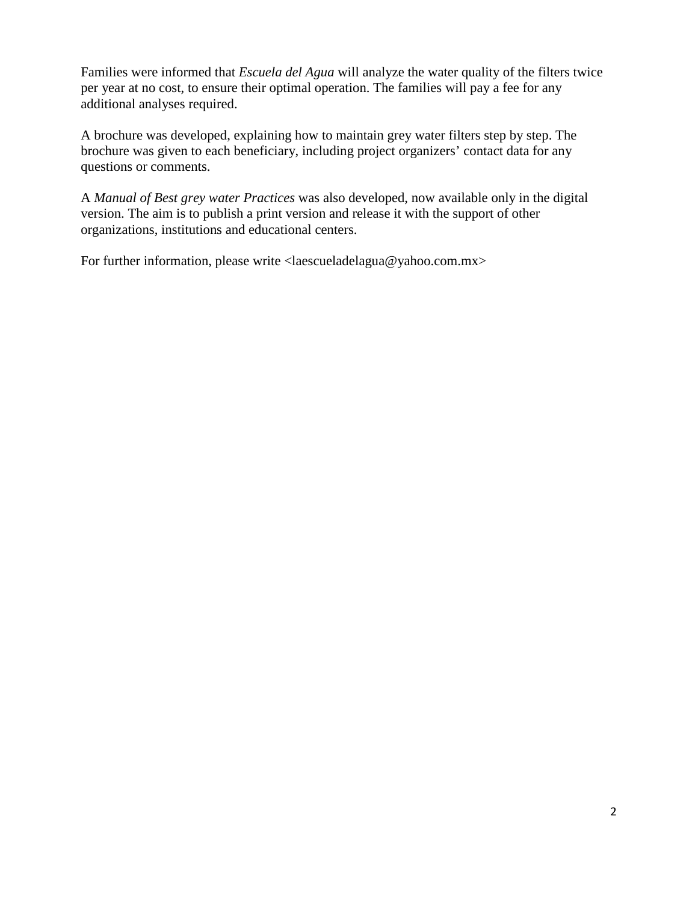Families were informed that *Escuela del Agua* will analyze the water quality of the filters twice per year at no cost, to ensure their optimal operation. The families will pay a fee for any additional analyses required.

A brochure was developed, explaining how to maintain grey water filters step by step. The brochure was given to each beneficiary, including project organizers' contact data for any questions or comments.

A *Manual of Best grey water Practices* was also developed, now available only in the digital version. The aim is to publish a print version and release it with the support of other organizations, institutions and educational centers.

For further information, please write <laescueladelagua@yahoo.com.mx>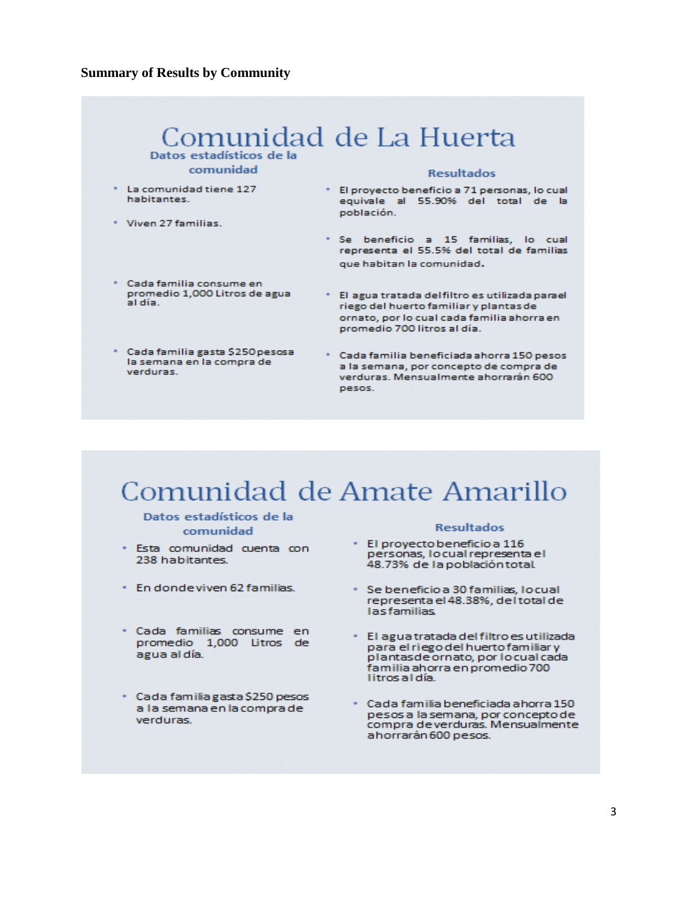## **Summary of Results by Community**



# Comunidad de Amate Amarillo

### Datos estadísticos de la comunidad

- · Esta comunidad cuenta con 238 habitantes.
- \* En donde viven 62 familias.
- · Cada familias consume en promedio 1,000 Litros de agua al día.
- · Cada familia gasta \$250 pesos a la semana en la compra de verduras

### **Resultados**

- · El proyecto beneficio a 116 personas, lo cual representa el 48.73% de la población total.
- · Se beneficio a 30 familias, locual representa el 48.38%, del total de **lasfamilias**
- · El agua tratada del filtro es utilizada para el riego del huerto familiar y plantas de ornato, por lo cual cada familia ahorra en promedio 700 litros al día.
- · Cada familia beneficiada ahorra 150 pesos a la semana, por concepto de compra deverduras. Mensualmente ahorrarán 600 pesos.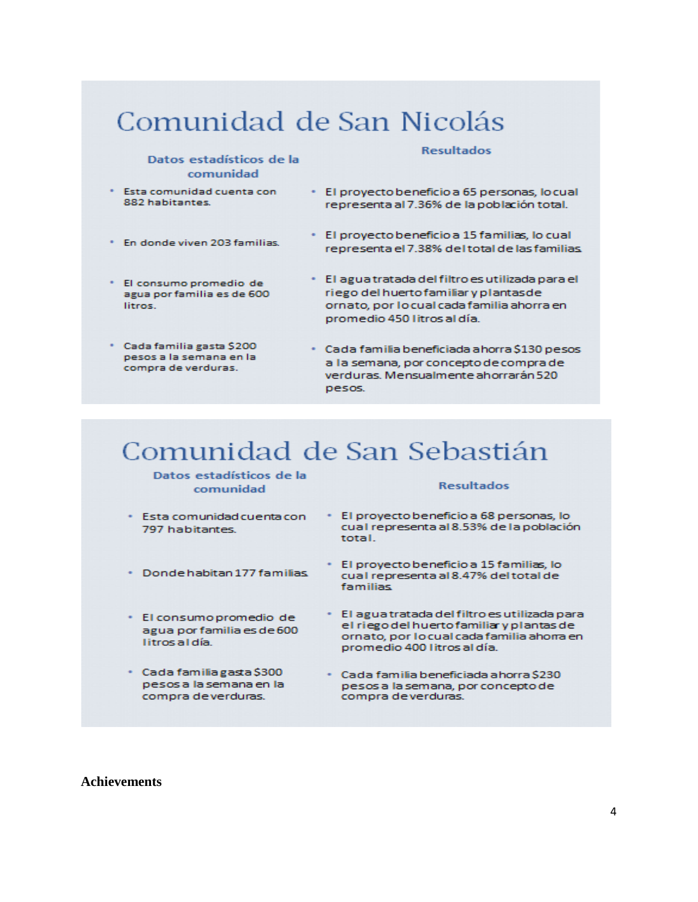# Comunidad de San Nicolás

### Datos estadísticos de la comunidad

### **Resultados**

- \* Esta comunidad cuenta con 882 habitantes.
- . En donde viven 203 familias
- El consumo promedio de agua por familia es de 600 litros.
- \* Cada familia gasta \$200 pesos a la semana en la compra de verduras.
- · El proyecto beneficio a 65 personas, lo cual representa al 7.36% de la población total.
- · El proyecto beneficio a 15 familias, lo cual representa el 7.38% del total de las familias.
- · El agua tratada del filtro es utilizada para el riego del huerto familiar y plantas de ornato, por locual cada familia ahorra en promedio 450 litros al día.
- · Cada familia beneficiada ahorra \$130 pesos a la semana, por concepto de compra de verduras. Mensualmente ahorrarán 520 pesos.

# Comunidad de San Sebastián

### Datos estadísticos de la comunidad

- · Esta comunidad cuenta con 797 habitantes.
- · Donde habitan 177 familias
- · El consumo promedio de agua por familia es de 600 litros al día.
- · Cada familia gasta \$300 pesos a la semana en la compra deverduras.

#### **Resultados**

- · El proyecto beneficio a 68 personas, lo cual representa al 8.53% de la población total.
- · El proyecto beneficio a 15 familias, lo cual representa al 8.47% del total de familias
- · El agua tratada del filtro es utilizada para el riego del huerto familiar y plantas de ornato, por locual cada familia ahorra en promedio 400 litros al día.
- · Cada familia beneficiada ahorra \$230 pesos a la semana, por concepto de compra deverduras.

#### **Achievements**